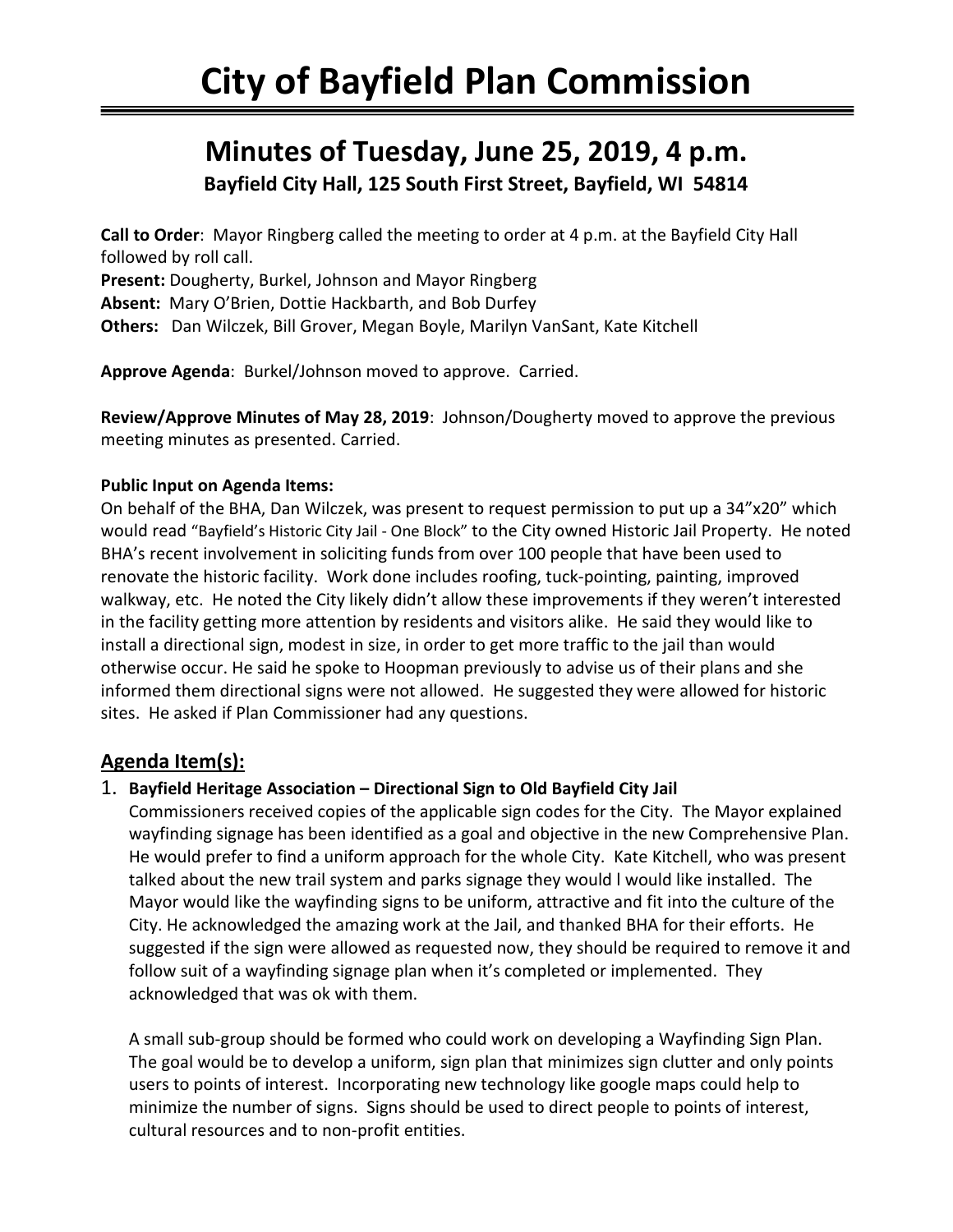# **Minutes of Tuesday, June 25, 2019, 4 p.m. Bayfield City Hall, 125 South First Street, Bayfield, WI 54814**

**Call to Order**: Mayor Ringberg called the meeting to order at 4 p.m. at the Bayfield City Hall followed by roll call.

**Present:** Dougherty, Burkel, Johnson and Mayor Ringberg **Absent:** Mary O'Brien, Dottie Hackbarth, and Bob Durfey **Others:** Dan Wilczek, Bill Grover, Megan Boyle, Marilyn VanSant, Kate Kitchell

**Approve Agenda**: Burkel/Johnson moved to approve. Carried.

**Review/Approve Minutes of May 28, 2019**: Johnson/Dougherty moved to approve the previous meeting minutes as presented. Carried.

#### **Public Input on Agenda Items:**

On behalf of the BHA, Dan Wilczek, was present to request permission to put up a 34"x20" which would read "Bayfield's Historic City Jail - One Block" to the City owned Historic Jail Property. He noted BHA's recent involvement in soliciting funds from over 100 people that have been used to renovate the historic facility. Work done includes roofing, tuck-pointing, painting, improved walkway, etc. He noted the City likely didn't allow these improvements if they weren't interested in the facility getting more attention by residents and visitors alike. He said they would like to install a directional sign, modest in size, in order to get more traffic to the jail than would otherwise occur. He said he spoke to Hoopman previously to advise us of their plans and she informed them directional signs were not allowed. He suggested they were allowed for historic sites. He asked if Plan Commissioner had any questions.

## **Agenda Item(s):**

#### 1. **Bayfield Heritage Association – Directional Sign to Old Bayfield City Jail**

Commissioners received copies of the applicable sign codes for the City. The Mayor explained wayfinding signage has been identified as a goal and objective in the new Comprehensive Plan. He would prefer to find a uniform approach for the whole City. Kate Kitchell, who was present talked about the new trail system and parks signage they would l would like installed. The Mayor would like the wayfinding signs to be uniform, attractive and fit into the culture of the City. He acknowledged the amazing work at the Jail, and thanked BHA for their efforts. He suggested if the sign were allowed as requested now, they should be required to remove it and follow suit of a wayfinding signage plan when it's completed or implemented. They acknowledged that was ok with them.

A small sub-group should be formed who could work on developing a Wayfinding Sign Plan. The goal would be to develop a uniform, sign plan that minimizes sign clutter and only points users to points of interest. Incorporating new technology like google maps could help to minimize the number of signs. Signs should be used to direct people to points of interest, cultural resources and to non-profit entities.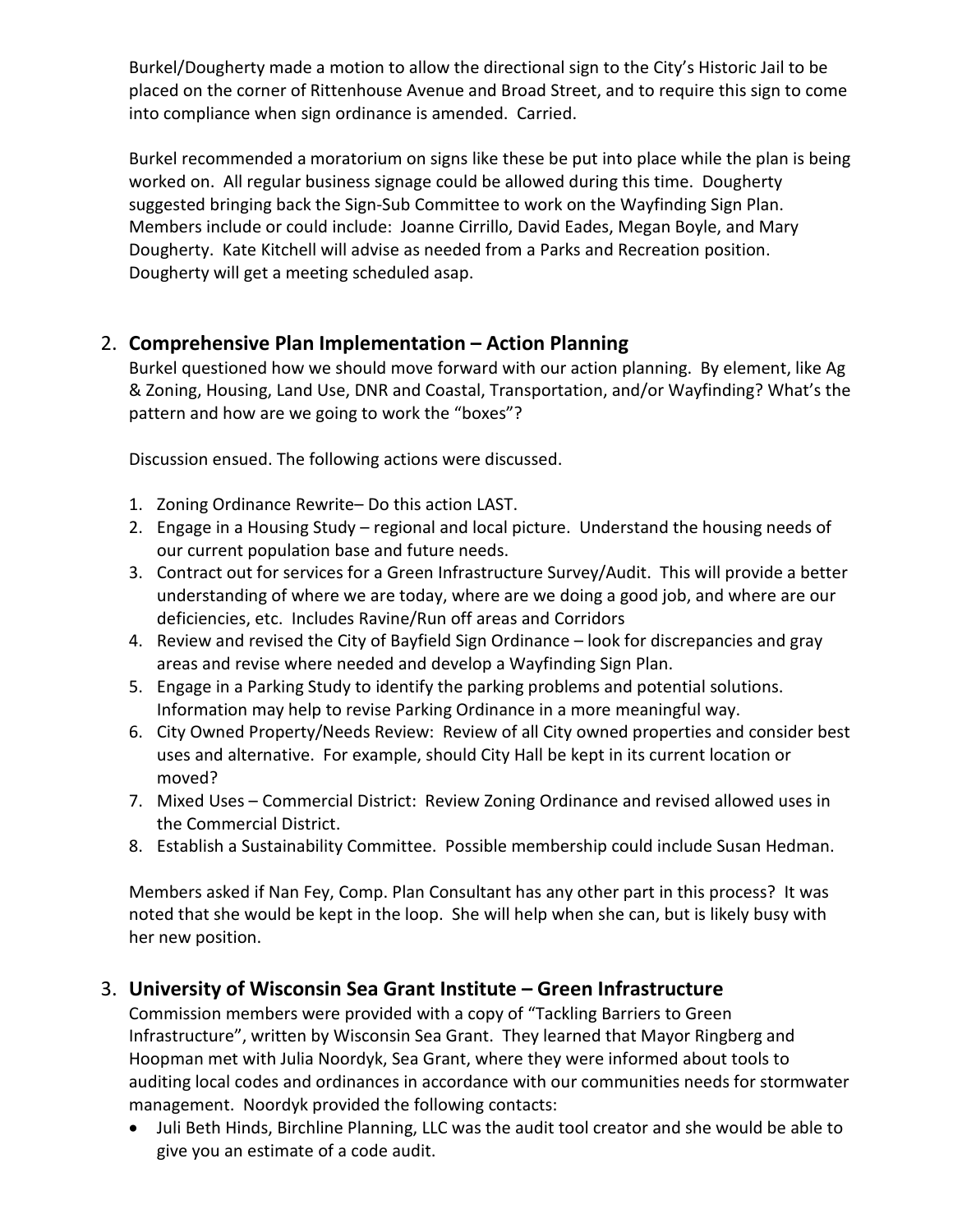Burkel/Dougherty made a motion to allow the directional sign to the City's Historic Jail to be placed on the corner of Rittenhouse Avenue and Broad Street, and to require this sign to come into compliance when sign ordinance is amended. Carried.

Burkel recommended a moratorium on signs like these be put into place while the plan is being worked on. All regular business signage could be allowed during this time. Dougherty suggested bringing back the Sign-Sub Committee to work on the Wayfinding Sign Plan. Members include or could include: Joanne Cirrillo, David Eades, Megan Boyle, and Mary Dougherty. Kate Kitchell will advise as needed from a Parks and Recreation position. Dougherty will get a meeting scheduled asap.

## 2. **Comprehensive Plan Implementation – Action Planning**

Burkel questioned how we should move forward with our action planning. By element, like Ag & Zoning, Housing, Land Use, DNR and Coastal, Transportation, and/or Wayfinding? What's the pattern and how are we going to work the "boxes"?

Discussion ensued. The following actions were discussed.

- 1. Zoning Ordinance Rewrite– Do this action LAST.
- 2. Engage in a Housing Study regional and local picture. Understand the housing needs of our current population base and future needs.
- 3. Contract out for services for a Green Infrastructure Survey/Audit. This will provide a better understanding of where we are today, where are we doing a good job, and where are our deficiencies, etc. Includes Ravine/Run off areas and Corridors
- 4. Review and revised the City of Bayfield Sign Ordinance look for discrepancies and gray areas and revise where needed and develop a Wayfinding Sign Plan.
- 5. Engage in a Parking Study to identify the parking problems and potential solutions. Information may help to revise Parking Ordinance in a more meaningful way.
- 6. City Owned Property/Needs Review: Review of all City owned properties and consider best uses and alternative. For example, should City Hall be kept in its current location or moved?
- 7. Mixed Uses Commercial District: Review Zoning Ordinance and revised allowed uses in the Commercial District.
- 8. Establish a Sustainability Committee. Possible membership could include Susan Hedman.

Members asked if Nan Fey, Comp. Plan Consultant has any other part in this process? It was noted that she would be kept in the loop. She will help when she can, but is likely busy with her new position.

# 3. **University of Wisconsin Sea Grant Institute – Green Infrastructure**

Commission members were provided with a copy of "Tackling Barriers to Green Infrastructure", written by Wisconsin Sea Grant. They learned that Mayor Ringberg and Hoopman met with Julia Noordyk, Sea Grant, where they were informed about tools to auditing local codes and ordinances in accordance with our communities needs for stormwater management. Noordyk provided the following contacts:

• Juli Beth Hinds, Birchline Planning, LLC was the audit tool creator and she would be able to give you an estimate of a code audit.